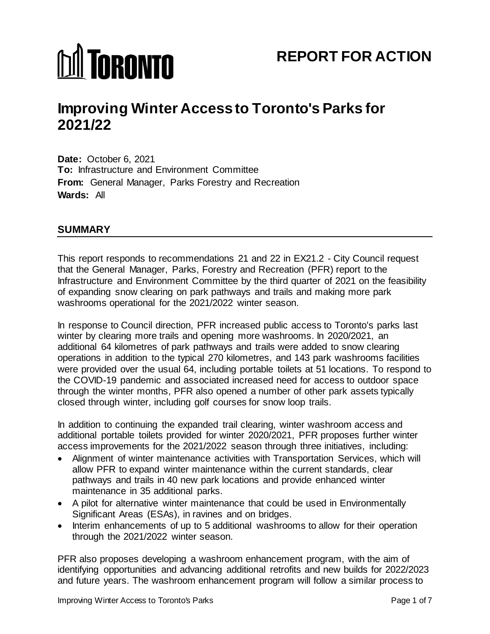# **MI TORONTO**

# **Improving Winter Access to Toronto's Parks for 2021/22**

**Date:** October 6, 2021 **To:** Infrastructure and Environment Committee **From:** General Manager, Parks Forestry and Recreation **Wards:** All

## **SUMMARY**

This report responds to recommendations 21 and 22 in EX21.2 - City Council request that the General Manager, Parks, Forestry and Recreation (PFR) report to the Infrastructure and Environment Committee by the third quarter of 2021 on the feasibility of expanding snow clearing on park pathways and trails and making more park washrooms operational for the 2021/2022 winter season.

In response to Council direction, PFR increased public access to Toronto's parks last winter by clearing more trails and opening more washrooms. In 2020/2021, an additional 64 kilometres of park pathways and trails were added to snow clearing operations in addition to the typical 270 kilometres, and 143 park washrooms facilities were provided over the usual 64, including portable toilets at 51 locations. To respond to the COVID-19 pandemic and associated increased need for access to outdoor space through the winter months, PFR also opened a number of other park assets typically closed through winter, including golf courses for snow loop trails.

In addition to continuing the expanded trail clearing, winter washroom access and additional portable toilets provided for winter 2020/2021, PFR proposes further winter access improvements for the 2021/2022 season through three initiatives, including:

- Alignment of winter maintenance activities with Transportation Services, which will allow PFR to expand winter maintenance within the current standards, clear pathways and trails in 40 new park locations and provide enhanced winter maintenance in 35 additional parks.
- A pilot for alternative winter maintenance that could be used in Environmentally Significant Areas (ESAs), in ravines and on bridges.
- Interim enhancements of up to 5 additional washrooms to allow for their operation through the 2021/2022 winter season.

PFR also proposes developing a washroom enhancement program, with the aim of identifying opportunities and advancing additional retrofits and new builds for 2022/2023 and future years. The washroom enhancement program will follow a similar process to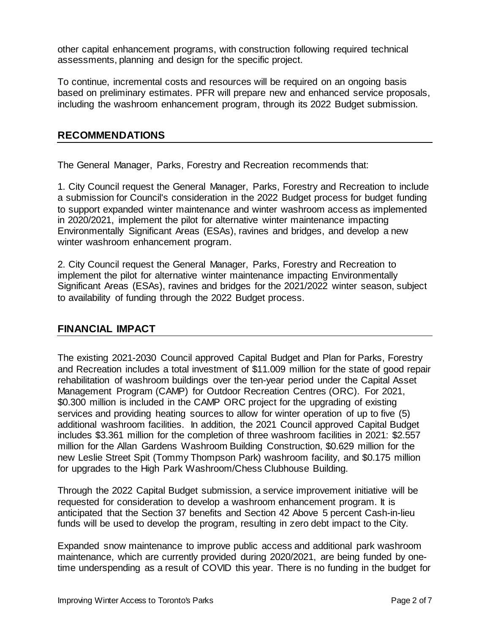other capital enhancement programs, with construction following required technical assessments, planning and design for the specific project.

To continue, incremental costs and resources will be required on an ongoing basis based on preliminary estimates. PFR will prepare new and enhanced service proposals, including the washroom enhancement program, through its 2022 Budget submission.

# **RECOMMENDATIONS**

The General Manager, Parks, Forestry and Recreation recommends that:

1. City Council request the General Manager, Parks, Forestry and Recreation to include a submission for Council's consideration in the 2022 Budget process for budget funding to support expanded winter maintenance and winter washroom access as implemented in 2020/2021, implement the pilot for alternative winter maintenance impacting Environmentally Significant Areas (ESAs), ravines and bridges, and develop a new winter washroom enhancement program.

2. City Council request the General Manager, Parks, Forestry and Recreation to implement the pilot for alternative winter maintenance impacting Environmentally Significant Areas (ESAs), ravines and bridges for the 2021/2022 winter season, subject to availability of funding through the 2022 Budget process.

#### **FINANCIAL IMPACT**

The existing 2021-2030 Council approved Capital Budget and Plan for Parks, Forestry and Recreation includes a total investment of \$11.009 million for the state of good repair rehabilitation of washroom buildings over the ten-year period under the Capital Asset Management Program (CAMP) for Outdoor Recreation Centres (ORC). For 2021, \$0.300 million is included in the CAMP ORC project for the upgrading of existing services and providing heating sources to allow for winter operation of up to five (5) additional washroom facilities. In addition, the 2021 Council approved Capital Budget includes \$3.361 million for the completion of three washroom facilities in 2021: \$2.557 million for the Allan Gardens Washroom Building Construction, \$0.629 million for the new Leslie Street Spit (Tommy Thompson Park) washroom facility, and \$0.175 million for upgrades to the High Park Washroom/Chess Clubhouse Building.

Through the 2022 Capital Budget submission, a service improvement initiative will be requested for consideration to develop a washroom enhancement program. It is anticipated that the Section 37 benefits and Section 42 Above 5 percent Cash-in-lieu funds will be used to develop the program, resulting in zero debt impact to the City.

Expanded snow maintenance to improve public access and additional park washroom maintenance, which are currently provided during 2020/2021, are being funded by onetime underspending as a result of COVID this year. There is no funding in the budget for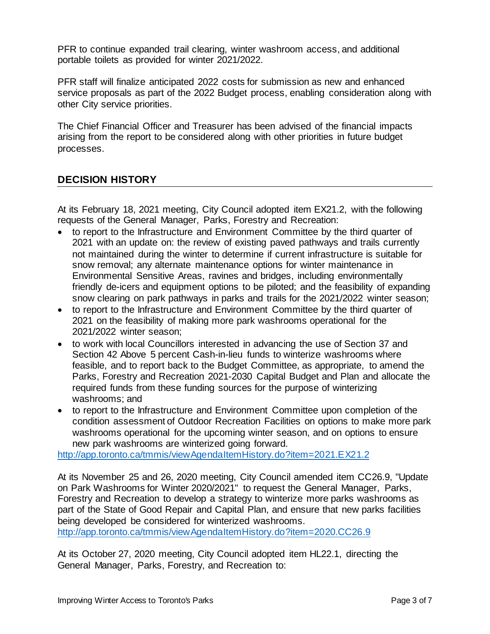PFR to continue expanded trail clearing, winter washroom access, and additional portable toilets as provided for winter 2021/2022.

PFR staff will finalize anticipated 2022 costs for submission as new and enhanced service proposals as part of the 2022 Budget process, enabling consideration along with other City service priorities.

The Chief Financial Officer and Treasurer has been advised of the financial impacts arising from the report to be considered along with other priorities in future budget processes.

# **DECISION HISTORY**

At its February 18, 2021 meeting, City Council adopted item EX21.2, with the following requests of the General Manager, Parks, Forestry and Recreation:

- to report to the Infrastructure and Environment Committee by the third quarter of 2021 with an update on: the review of existing paved pathways and trails currently not maintained during the winter to determine if current infrastructure is suitable for snow removal; any alternate maintenance options for winter maintenance in Environmental Sensitive Areas, ravines and bridges, including environmentally friendly de-icers and equipment options to be piloted; and the feasibility of expanding snow clearing on park pathways in parks and trails for the 2021/2022 winter season;
- to report to the Infrastructure and Environment Committee by the third quarter of 2021 on the feasibility of making more park washrooms operational for the 2021/2022 winter season;
- to work with local Councillors interested in advancing the use of Section 37 and Section 42 Above 5 percent Cash-in-lieu funds to winterize washrooms where feasible, and to report back to the Budget Committee, as appropriate, to amend the Parks, Forestry and Recreation 2021-2030 Capital Budget and Plan and allocate the required funds from these funding sources for the purpose of winterizing washrooms; and
- to report to the Infrastructure and Environment Committee upon completion of the condition assessment of Outdoor Recreation Facilities on options to make more park washrooms operational for the upcoming winter season, and on options to ensure new park washrooms are winterized going forward.

<http://app.toronto.ca/tmmis/viewAgendaItemHistory.do?item=2021.EX21.2>

At its November 25 and 26, 2020 meeting, City Council amended item CC26.9, "Update on Park Washrooms for Winter 2020/2021" to request the General Manager, Parks, Forestry and Recreation to develop a strategy to winterize more parks washrooms as part of the State of Good Repair and Capital Plan, and ensure that new parks facilities being developed be considered for winterized washrooms.

<http://app.toronto.ca/tmmis/viewAgendaItemHistory.do?item=2020.CC26.9>

At its October 27, 2020 meeting, City Council adopted item HL22.1, directing the General Manager, Parks, Forestry, and Recreation to: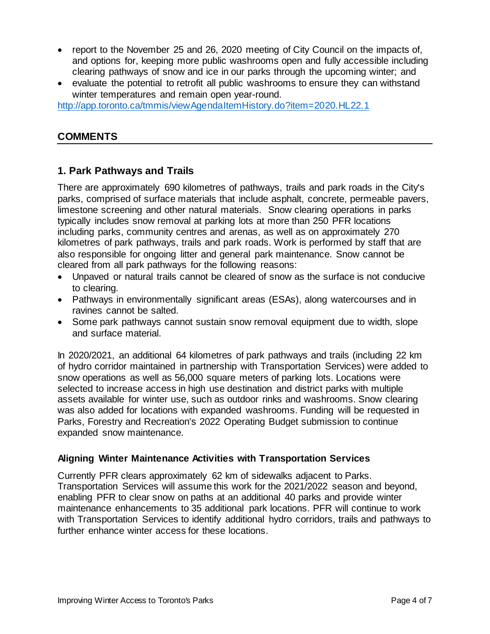- report to the November 25 and 26, 2020 meeting of City Council on the impacts of, and options for, keeping more public washrooms open and fully accessible including clearing pathways of snow and ice in our parks through the upcoming winter; and
- evaluate the potential to retrofit all public washrooms to ensure they can withstand winter temperatures and remain open year-round.

<http://app.toronto.ca/tmmis/viewAgendaItemHistory.do?item=2020.HL22.1>

# **COMMENTS**

#### **1. Park Pathways and Trails**

There are approximately 690 kilometres of pathways, trails and park roads in the City's parks, comprised of surface materials that include asphalt, concrete, permeable pavers, limestone screening and other natural materials. Snow clearing operations in parks typically includes snow removal at parking lots at more than 250 PFR locations including parks, community centres and arenas, as well as on approximately 270 kilometres of park pathways, trails and park roads. Work is performed by staff that are also responsible for ongoing litter and general park maintenance. Snow cannot be cleared from all park pathways for the following reasons:

- Unpaved or natural trails cannot be cleared of snow as the surface is not conducive to clearing.
- Pathways in environmentally significant areas (ESAs), along watercourses and in ravines cannot be salted.
- Some park pathways cannot sustain snow removal equipment due to width, slope and surface material.

In 2020/2021, an additional 64 kilometres of park pathways and trails (including 22 km of hydro corridor maintained in partnership with Transportation Services) were added to snow operations as well as 56,000 square meters of parking lots. Locations were selected to increase access in high use destination and district parks with multiple assets available for winter use, such as outdoor rinks and washrooms. Snow clearing was also added for locations with expanded washrooms. Funding will be requested in Parks, Forestry and Recreation's 2022 Operating Budget submission to continue expanded snow maintenance.

#### **Aligning Winter Maintenance Activities with Transportation Services**

Currently PFR clears approximately 62 km of sidewalks adjacent to Parks. Transportation Services will assume this work for the 2021/2022 season and beyond, enabling PFR to clear snow on paths at an additional 40 parks and provide winter maintenance enhancements to 35 additional park locations. PFR will continue to work with Transportation Services to identify additional hydro corridors, trails and pathways to further enhance winter access for these locations.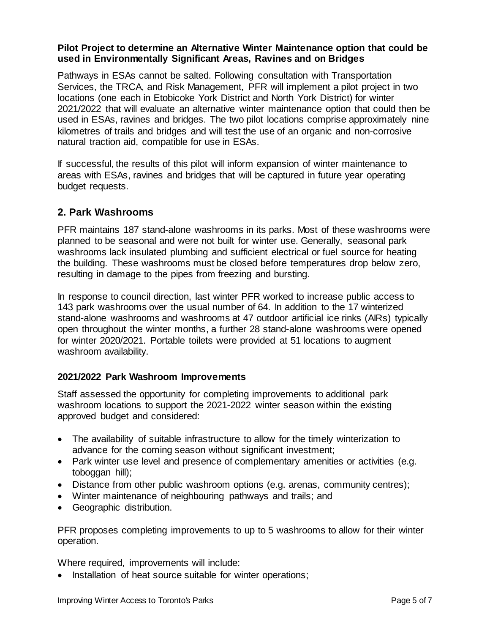#### **Pilot Project to determine an Alternative Winter Maintenance option that could be used in Environmentally Significant Areas, Ravines and on Bridges**

Pathways in ESAs cannot be salted. Following consultation with Transportation Services, the TRCA, and Risk Management, PFR will implement a pilot project in two locations (one each in Etobicoke York District and North York District) for winter 2021/2022 that will evaluate an alternative winter maintenance option that could then be used in ESAs, ravines and bridges. The two pilot locations comprise approximately nine kilometres of trails and bridges and will test the use of an organic and non-corrosive natural traction aid, compatible for use in ESAs.

If successful, the results of this pilot will inform expansion of winter maintenance to areas with ESAs, ravines and bridges that will be captured in future year operating budget requests.

## **2. Park Washrooms**

PFR maintains 187 stand-alone washrooms in its parks. Most of these washrooms were planned to be seasonal and were not built for winter use. Generally, seasonal park washrooms lack insulated plumbing and sufficient electrical or fuel source for heating the building. These washrooms must be closed before temperatures drop below zero, resulting in damage to the pipes from freezing and bursting.

In response to council direction, last winter PFR worked to increase public access to 143 park washrooms over the usual number of 64. In addition to the 17 winterized stand-alone washrooms and washrooms at 47 outdoor artificial ice rinks (AIRs) typically open throughout the winter months, a further 28 stand-alone washrooms were opened for winter 2020/2021. Portable toilets were provided at 51 locations to augment washroom availability.

#### **2021/2022 Park Washroom Improvements**

Staff assessed the opportunity for completing improvements to additional park washroom locations to support the 2021-2022 winter season within the existing approved budget and considered:

- The availability of suitable infrastructure to allow for the timely winterization to advance for the coming season without significant investment;
- Park winter use level and presence of complementary amenities or activities (e.g. toboggan hill);
- Distance from other public washroom options (e.g. arenas, community centres);
- Winter maintenance of neighbouring pathways and trails; and
- Geographic distribution.

PFR proposes completing improvements to up to 5 washrooms to allow for their winter operation.

Where required, improvements will include:

• Installation of heat source suitable for winter operations;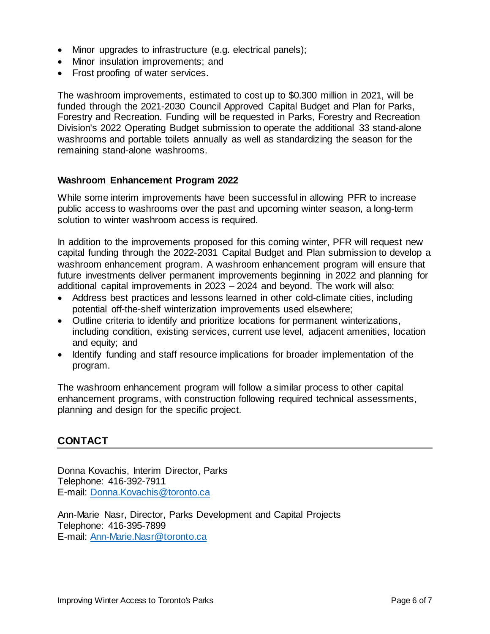- Minor upgrades to infrastructure (e.g. electrical panels);
- Minor insulation improvements; and
- Frost proofing of water services.

The washroom improvements, estimated to cost up to \$0.300 million in 2021, will be funded through the 2021-2030 Council Approved Capital Budget and Plan for Parks, Forestry and Recreation. Funding will be requested in Parks, Forestry and Recreation Division's 2022 Operating Budget submission to operate the additional 33 stand-alone washrooms and portable toilets annually as well as standardizing the season for the remaining stand-alone washrooms.

#### **Washroom Enhancement Program 2022**

While some interim improvements have been successful in allowing PFR to increase public access to washrooms over the past and upcoming winter season, a long-term solution to winter washroom access is required.

In addition to the improvements proposed for this coming winter, PFR will request new capital funding through the 2022-2031 Capital Budget and Plan submission to develop a washroom enhancement program. A washroom enhancement program will ensure that future investments deliver permanent improvements beginning in 2022 and planning for additional capital improvements in 2023 – 2024 and beyond. The work will also:

- Address best practices and lessons learned in other cold-climate cities, including potential off-the-shelf winterization improvements used elsewhere;
- Outline criteria to identify and prioritize locations for permanent winterizations, including condition, existing services, current use level, adjacent amenities, location and equity; and
- Identify funding and staff resource implications for broader implementation of the program.

The washroom enhancement program will follow a similar process to other capital enhancement programs, with construction following required technical assessments, planning and design for the specific project.

#### **CONTACT**

Donna Kovachis, Interim Director, Parks Telephone: 416-392-7911 E-mail: [Donna.Kovachis@toronto.ca](mailto:Donna.Kovachis@toronto.ca)

Ann-Marie Nasr, Director, Parks Development and Capital Projects Telephone: 416-395-7899 E-mail: [Ann-Marie.Nasr@toronto.ca](mailto:Ann-Marie.Nasr@toronto.ca)